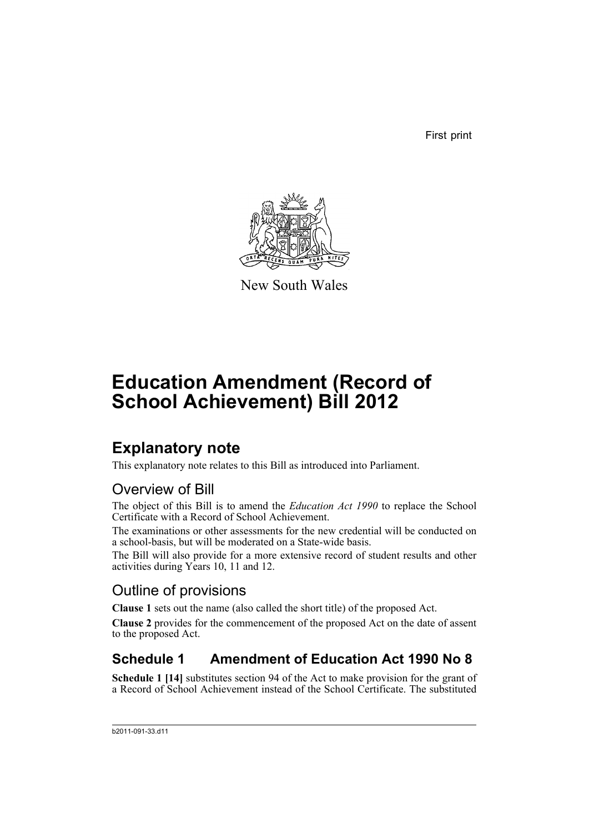First print



New South Wales

# **Education Amendment (Record of School Achievement) Bill 2012**

# **Explanatory note**

This explanatory note relates to this Bill as introduced into Parliament.

## Overview of Bill

The object of this Bill is to amend the *Education Act 1990* to replace the School Certificate with a Record of School Achievement.

The examinations or other assessments for the new credential will be conducted on a school-basis, but will be moderated on a State-wide basis.

The Bill will also provide for a more extensive record of student results and other activities during Years 10, 11 and 12.

## Outline of provisions

**Clause 1** sets out the name (also called the short title) of the proposed Act.

**Clause 2** provides for the commencement of the proposed Act on the date of assent to the proposed Act.

## **Schedule 1 Amendment of Education Act 1990 No 8**

**Schedule 1 [14]** substitutes section 94 of the Act to make provision for the grant of a Record of School Achievement instead of the School Certificate. The substituted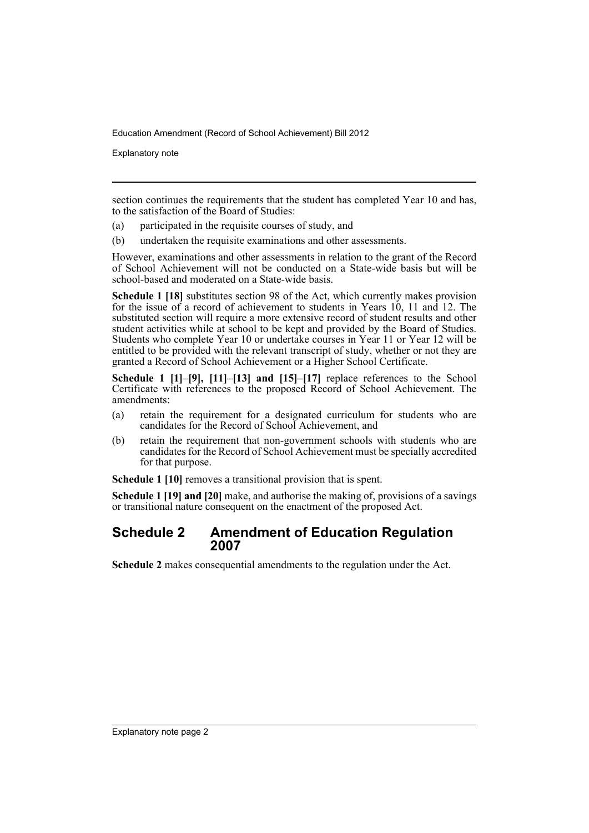Explanatory note

section continues the requirements that the student has completed Year 10 and has, to the satisfaction of the Board of Studies:

- (a) participated in the requisite courses of study, and
- (b) undertaken the requisite examinations and other assessments.

However, examinations and other assessments in relation to the grant of the Record of School Achievement will not be conducted on a State-wide basis but will be school-based and moderated on a State-wide basis.

**Schedule 1 [18]** substitutes section 98 of the Act, which currently makes provision for the issue of a record of achievement to students in Years 10, 11 and 12. The substituted section will require a more extensive record of student results and other student activities while at school to be kept and provided by the Board of Studies. Students who complete Year 10 or undertake courses in Year 11 or Year 12 will be entitled to be provided with the relevant transcript of study, whether or not they are granted a Record of School Achievement or a Higher School Certificate.

**Schedule 1 [1]–[9], [11]–[13] and [15]–[17]** replace references to the School Certificate with references to the proposed Record of School Achievement. The amendments:

- (a) retain the requirement for a designated curriculum for students who are candidates for the Record of School Achievement, and
- (b) retain the requirement that non-government schools with students who are candidates for the Record of School Achievement must be specially accredited for that purpose.

**Schedule 1 [10]** removes a transitional provision that is spent.

**Schedule 1 [19] and [20]** make, and authorise the making of, provisions of a savings or transitional nature consequent on the enactment of the proposed Act.

### **Schedule 2 Amendment of Education Regulation 2007**

**Schedule 2** makes consequential amendments to the regulation under the Act.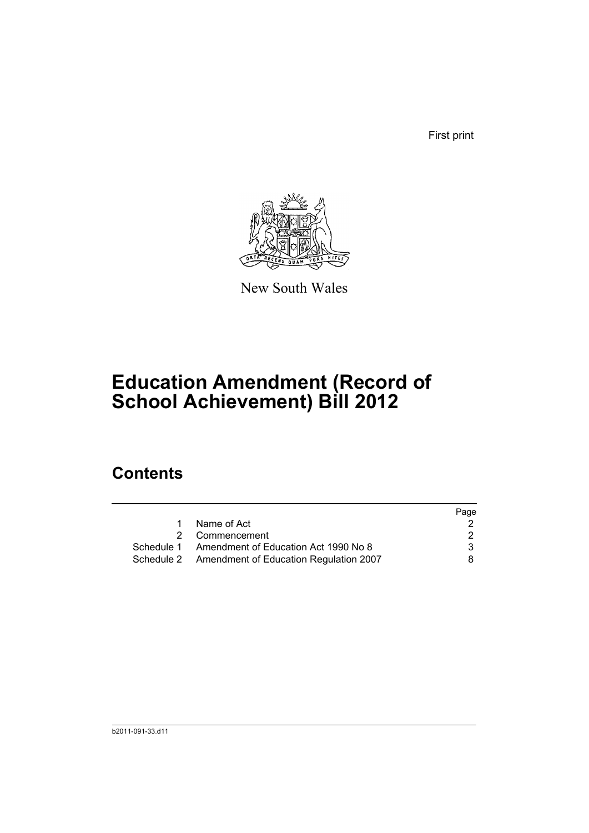First print



New South Wales

# **Education Amendment (Record of School Achievement) Bill 2012**

## **Contents**

|                                                   | Page |
|---------------------------------------------------|------|
| Name of Act                                       |      |
| 2 Commencement                                    | 2    |
| Schedule 1 Amendment of Education Act 1990 No 8   | 3    |
| Schedule 2 Amendment of Education Regulation 2007 | 8.   |
|                                                   |      |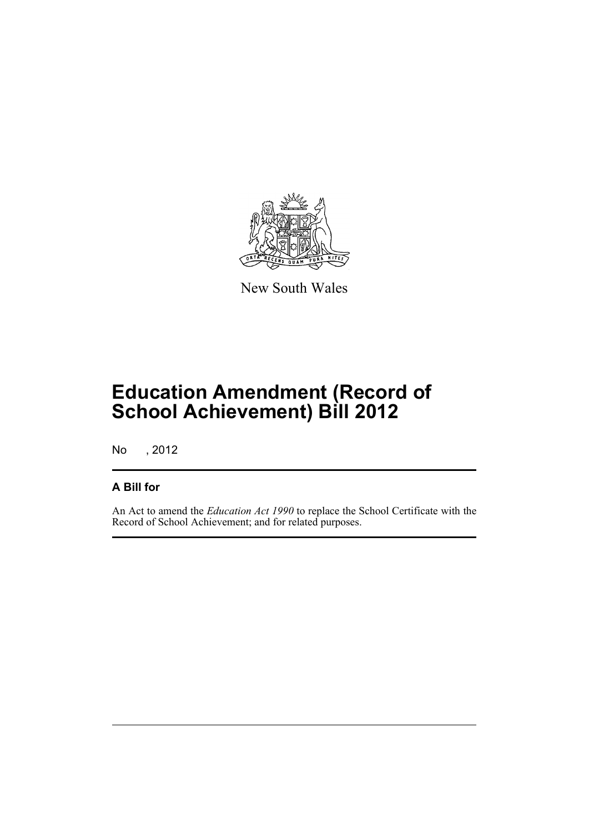

New South Wales

# **Education Amendment (Record of School Achievement) Bill 2012**

No , 2012

### **A Bill for**

An Act to amend the *Education Act 1990* to replace the School Certificate with the Record of School Achievement; and for related purposes.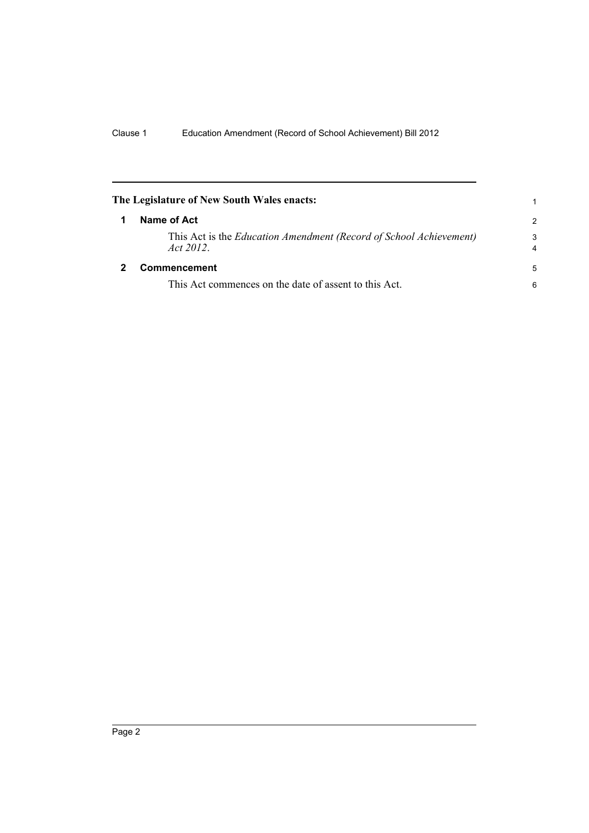<span id="page-5-1"></span><span id="page-5-0"></span>

| The Legislature of New South Wales enacts:                                     |               |
|--------------------------------------------------------------------------------|---------------|
| Name of Act                                                                    | $\mathcal{P}$ |
| This Act is the Education Amendment (Record of School Achievement)<br>Act 2012 | 3             |
| <b>Commencement</b>                                                            | 5             |
| This Act commences on the date of assent to this Act.                          | 6             |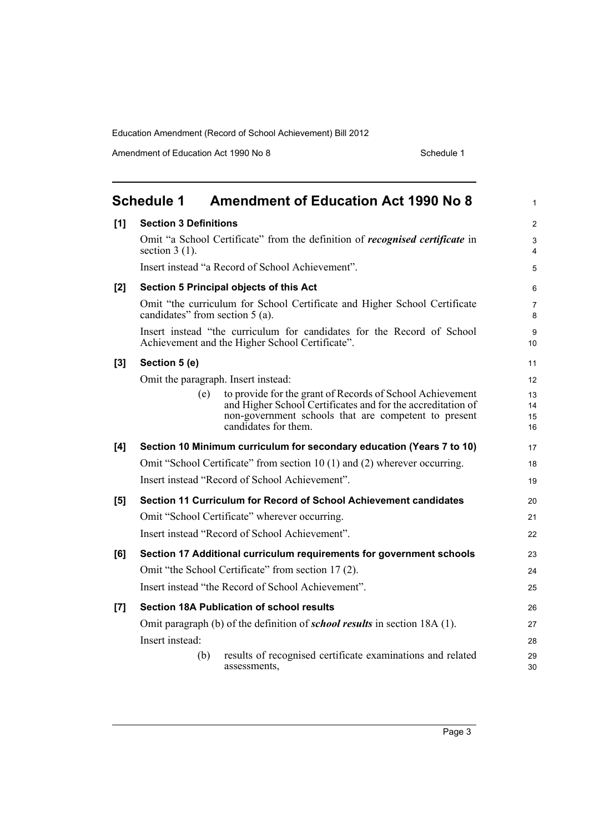Amendment of Education Act 1990 No 8 Schedule 1

<span id="page-6-0"></span>

|     | <b>Schedule 1</b>               | <b>Amendment of Education Act 1990 No 8</b>                                                                                                                                                              | $\mathbf{1}$         |
|-----|---------------------------------|----------------------------------------------------------------------------------------------------------------------------------------------------------------------------------------------------------|----------------------|
| [1] | <b>Section 3 Definitions</b>    |                                                                                                                                                                                                          | $\overline{2}$       |
|     | section $3(1)$ .                | Omit "a School Certificate" from the definition of <i>recognised certificate</i> in                                                                                                                      | 3<br>4               |
|     |                                 | Insert instead "a Record of School Achievement".                                                                                                                                                         | 5                    |
| [2] |                                 | Section 5 Principal objects of this Act                                                                                                                                                                  | 6                    |
|     | candidates" from section 5 (a). | Omit "the curriculum for School Certificate and Higher School Certificate                                                                                                                                | $\overline{7}$<br>8  |
|     |                                 | Insert instead "the curriculum for candidates for the Record of School<br>Achievement and the Higher School Certificate".                                                                                | 9<br>10              |
| [3] | Section 5 (e)                   |                                                                                                                                                                                                          | 11                   |
|     |                                 | Omit the paragraph. Insert instead:                                                                                                                                                                      | 12                   |
|     | (e)                             | to provide for the grant of Records of School Achievement<br>and Higher School Certificates and for the accreditation of<br>non-government schools that are competent to present<br>candidates for them. | 13<br>14<br>15<br>16 |
| [4] |                                 | Section 10 Minimum curriculum for secondary education (Years 7 to 10)                                                                                                                                    | 17                   |
|     |                                 | Omit "School Certificate" from section 10 (1) and (2) wherever occurring.                                                                                                                                | 18                   |
|     |                                 | Insert instead "Record of School Achievement".                                                                                                                                                           | 19                   |
| [5] |                                 | Section 11 Curriculum for Record of School Achievement candidates                                                                                                                                        | 20                   |
|     |                                 | Omit "School Certificate" wherever occurring.                                                                                                                                                            | 21                   |
|     |                                 | Insert instead "Record of School Achievement".                                                                                                                                                           | 22                   |
| [6] |                                 | Section 17 Additional curriculum requirements for government schools                                                                                                                                     | 23                   |
|     |                                 | Omit "the School Certificate" from section 17(2).                                                                                                                                                        | 24                   |
|     |                                 | Insert instead "the Record of School Achievement".                                                                                                                                                       | 25                   |
| [7] |                                 | <b>Section 18A Publication of school results</b>                                                                                                                                                         | 26                   |
|     |                                 | Omit paragraph (b) of the definition of <i>school results</i> in section 18A (1).                                                                                                                        | 27                   |
|     | Insert instead:                 |                                                                                                                                                                                                          | 28                   |
|     | (b)                             | results of recognised certificate examinations and related<br>assessments,                                                                                                                               | 29<br>30             |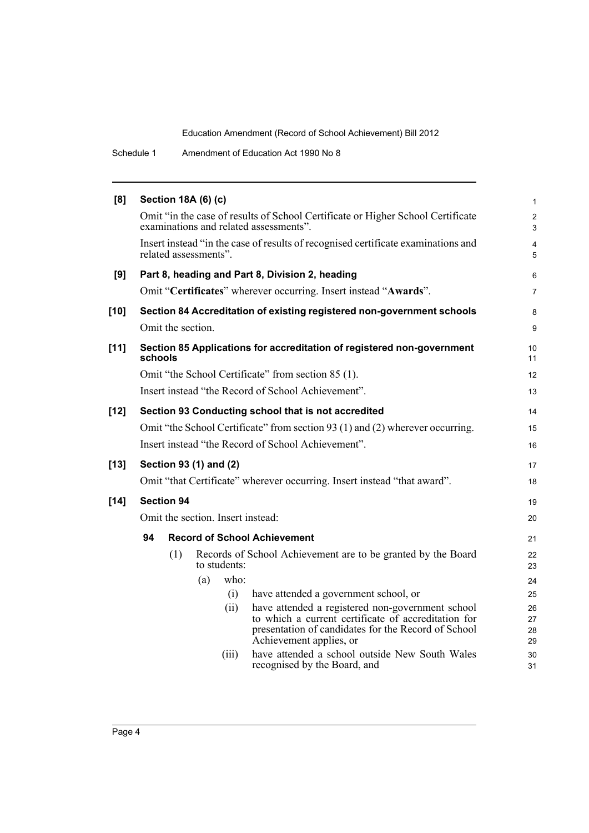Schedule 1 Amendment of Education Act 1990 No 8

| [8]    |                                                     | <b>Section 18A (6) (c)</b> |                                                                                                                           | $\mathbf{1}$                     |
|--------|-----------------------------------------------------|----------------------------|---------------------------------------------------------------------------------------------------------------------------|----------------------------------|
|        |                                                     |                            | Omit "in the case of results of School Certificate or Higher School Certificate<br>examinations and related assessments". | $\overline{2}$<br>$\mathfrak{S}$ |
|        |                                                     | related assessments".      | Insert instead "in the case of results of recognised certificate examinations and                                         | $\overline{4}$<br>5              |
| [9]    |                                                     |                            | Part 8, heading and Part 8, Division 2, heading                                                                           | 6                                |
|        |                                                     |                            | Omit "Certificates" wherever occurring. Insert instead "Awards".                                                          | $\overline{7}$                   |
| $[10]$ |                                                     |                            | Section 84 Accreditation of existing registered non-government schools                                                    | 8                                |
|        | Omit the section.                                   |                            |                                                                                                                           | 9                                |
| $[11]$ | schools                                             |                            | Section 85 Applications for accreditation of registered non-government                                                    | 10<br>11                         |
|        |                                                     |                            | Omit "the School Certificate" from section 85 (1).                                                                        | 12                               |
|        |                                                     |                            | Insert instead "the Record of School Achievement".                                                                        | 13                               |
| $[12]$ | Section 93 Conducting school that is not accredited |                            |                                                                                                                           | 14                               |
|        |                                                     |                            | Omit "the School Certificate" from section 93 (1) and (2) wherever occurring.                                             | 15                               |
|        |                                                     |                            | Insert instead "the Record of School Achievement".                                                                        | 16                               |
| $[13]$ |                                                     | Section 93 (1) and (2)     |                                                                                                                           | 17                               |
|        |                                                     |                            | Omit "that Certificate" wherever occurring. Insert instead "that award".                                                  | 18                               |
| $[14]$ | <b>Section 94</b>                                   |                            |                                                                                                                           |                                  |
|        | Omit the section. Insert instead:                   |                            |                                                                                                                           |                                  |
|        | 94                                                  |                            | <b>Record of School Achievement</b>                                                                                       | 21                               |
|        | (1)                                                 | to students:               | Records of School Achievement are to be granted by the Board                                                              | 22<br>23                         |
|        |                                                     | who:<br>(a)                |                                                                                                                           | 24                               |
|        |                                                     | (i)                        | have attended a government school, or                                                                                     | 25                               |
|        |                                                     | (ii)                       | have attended a registered non-government school<br>to which a current certificate of accreditation for                   | 26                               |
|        |                                                     |                            | presentation of candidates for the Record of School                                                                       | 27<br>28                         |
|        |                                                     |                            | Achievement applies, or                                                                                                   | 29                               |
|        |                                                     | (iii)                      | have attended a school outside New South Wales<br>recognised by the Board, and                                            | 30<br>31                         |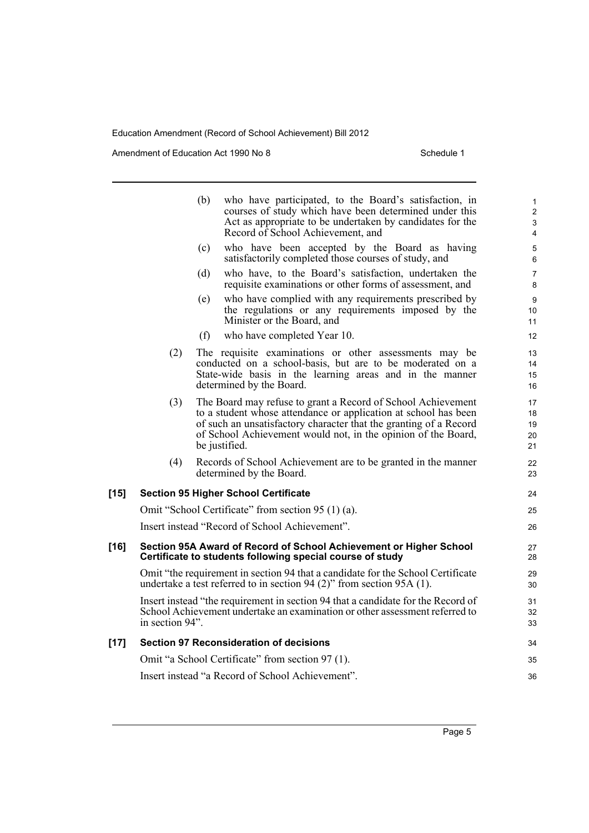Amendment of Education Act 1990 No 8 Schedule 1

|        |                 | (b) | who have participated, to the Board's satisfaction, in<br>courses of study which have been determined under this<br>Act as appropriate to be undertaken by candidates for the<br>Record of School Achievement, and                                                                     | 1<br>$\overline{2}$<br>3<br>4 |
|--------|-----------------|-----|----------------------------------------------------------------------------------------------------------------------------------------------------------------------------------------------------------------------------------------------------------------------------------------|-------------------------------|
|        |                 | (c) | who have been accepted by the Board as having<br>satisfactorily completed those courses of study, and                                                                                                                                                                                  | 5<br>6                        |
|        |                 | (d) | who have, to the Board's satisfaction, undertaken the<br>requisite examinations or other forms of assessment, and                                                                                                                                                                      | 7<br>8                        |
|        |                 | (e) | who have complied with any requirements prescribed by<br>the regulations or any requirements imposed by the<br>Minister or the Board, and                                                                                                                                              | 9<br>10<br>11                 |
|        |                 | (f) | who have completed Year 10.                                                                                                                                                                                                                                                            | 12                            |
|        | (2)             |     | The requisite examinations or other assessments may be<br>conducted on a school-basis, but are to be moderated on a<br>State-wide basis in the learning areas and in the manner<br>determined by the Board.                                                                            | 13<br>14<br>15<br>16          |
|        | (3)             |     | The Board may refuse to grant a Record of School Achievement<br>to a student whose attendance or application at school has been<br>of such an unsatisfactory character that the granting of a Record<br>of School Achievement would not, in the opinion of the Board,<br>be justified. | 17<br>18<br>19<br>20<br>21    |
|        | (4)             |     | Records of School Achievement are to be granted in the manner<br>determined by the Board.                                                                                                                                                                                              | 22<br>23                      |
| $[15]$ |                 |     | <b>Section 95 Higher School Certificate</b>                                                                                                                                                                                                                                            | 24                            |
|        |                 |     | Omit "School Certificate" from section 95 (1) (a).                                                                                                                                                                                                                                     | 25                            |
|        |                 |     | Insert instead "Record of School Achievement".                                                                                                                                                                                                                                         | 26                            |
| [16]   |                 |     | Section 95A Award of Record of School Achievement or Higher School<br>Certificate to students following special course of study                                                                                                                                                        | 27<br>28                      |
|        |                 |     | Omit "the requirement in section 94 that a candidate for the School Certificate<br>undertake a test referred to in section 94 (2)" from section 95A (1).                                                                                                                               | 29<br>30                      |
|        | in section 94". |     | Insert instead "the requirement in section 94 that a candidate for the Record of<br>School Achievement undertake an examination or other assessment referred to                                                                                                                        | 31<br>32<br>33                |
| $[17]$ |                 |     | <b>Section 97 Reconsideration of decisions</b>                                                                                                                                                                                                                                         | 34                            |
|        |                 |     | Omit "a School Certificate" from section 97 (1).                                                                                                                                                                                                                                       | 35                            |
|        |                 |     | Insert instead "a Record of School Achievement".                                                                                                                                                                                                                                       | 36                            |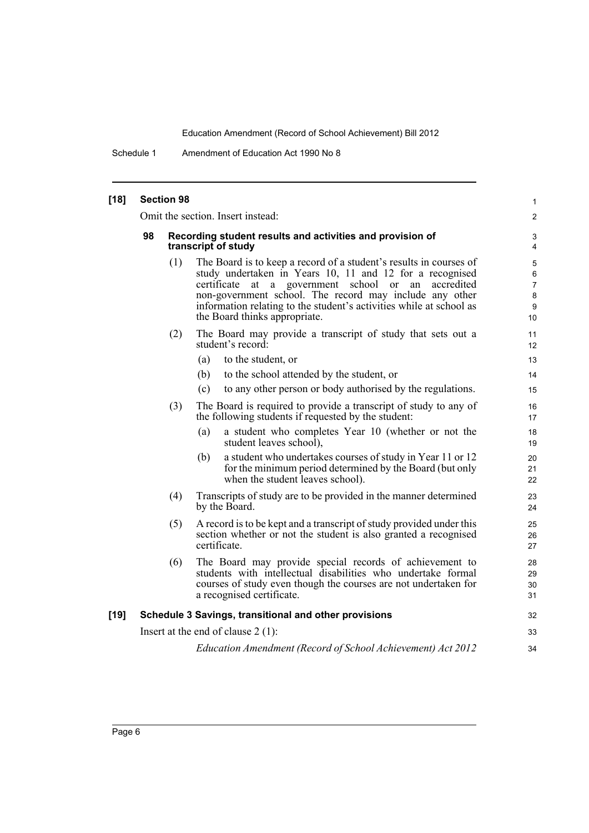Schedule 1 Amendment of Education Act 1990 No 8

| $[18]$ | <b>Section 98</b>                                                                                                                                              |                                                                                  |                                                                                                                                                                                                                                                                                                                                                                   |                                          |
|--------|----------------------------------------------------------------------------------------------------------------------------------------------------------------|----------------------------------------------------------------------------------|-------------------------------------------------------------------------------------------------------------------------------------------------------------------------------------------------------------------------------------------------------------------------------------------------------------------------------------------------------------------|------------------------------------------|
|        | Omit the section. Insert instead:                                                                                                                              |                                                                                  |                                                                                                                                                                                                                                                                                                                                                                   | $\overline{2}$                           |
|        | 98                                                                                                                                                             | Recording student results and activities and provision of<br>transcript of study |                                                                                                                                                                                                                                                                                                                                                                   |                                          |
|        |                                                                                                                                                                | (1)                                                                              | The Board is to keep a record of a student's results in courses of<br>study undertaken in Years 10, 11 and 12 for a recognised<br>certificate<br>at a government school<br>or an<br>accredited<br>non-government school. The record may include any other<br>information relating to the student's activities while at school as<br>the Board thinks appropriate. | 5<br>6<br>$\overline{7}$<br>8<br>9<br>10 |
|        |                                                                                                                                                                | (2)                                                                              | The Board may provide a transcript of study that sets out a<br>student's record:                                                                                                                                                                                                                                                                                  | 11<br>12                                 |
|        |                                                                                                                                                                |                                                                                  | (a)<br>to the student, or                                                                                                                                                                                                                                                                                                                                         | 13                                       |
|        |                                                                                                                                                                |                                                                                  | to the school attended by the student, or<br>(b)                                                                                                                                                                                                                                                                                                                  | 14                                       |
|        |                                                                                                                                                                |                                                                                  | to any other person or body authorised by the regulations.<br>(c)                                                                                                                                                                                                                                                                                                 | 15                                       |
|        |                                                                                                                                                                | (3)                                                                              | The Board is required to provide a transcript of study to any of<br>the following students if requested by the student:                                                                                                                                                                                                                                           | 16<br>17                                 |
|        |                                                                                                                                                                |                                                                                  | a student who completes Year 10 (whether or not the<br>(a)<br>student leaves school),                                                                                                                                                                                                                                                                             | 18<br>19                                 |
|        |                                                                                                                                                                |                                                                                  | a student who undertakes courses of study in Year 11 or 12<br>(b)<br>for the minimum period determined by the Board (but only<br>when the student leaves school).                                                                                                                                                                                                 | 20<br>21<br>22                           |
|        |                                                                                                                                                                | (4)                                                                              | Transcripts of study are to be provided in the manner determined<br>by the Board.                                                                                                                                                                                                                                                                                 | 23<br>24                                 |
|        | A record is to be kept and a transcript of study provided under this<br>(5)<br>section whether or not the student is also granted a recognised<br>certificate. |                                                                                  | 25<br>26<br>27                                                                                                                                                                                                                                                                                                                                                    |                                          |
|        |                                                                                                                                                                | (6)                                                                              | The Board may provide special records of achievement to<br>students with intellectual disabilities who undertake formal<br>courses of study even though the courses are not undertaken for<br>a recognised certificate.                                                                                                                                           | 28<br>29<br>30<br>31                     |
| $[19]$ |                                                                                                                                                                |                                                                                  | Schedule 3 Savings, transitional and other provisions                                                                                                                                                                                                                                                                                                             | 32                                       |
|        |                                                                                                                                                                |                                                                                  | Insert at the end of clause $2(1)$ :                                                                                                                                                                                                                                                                                                                              | 33                                       |
|        | Education Amendment (Record of School Achievement) Act 2012                                                                                                    |                                                                                  |                                                                                                                                                                                                                                                                                                                                                                   | 34                                       |
|        |                                                                                                                                                                |                                                                                  |                                                                                                                                                                                                                                                                                                                                                                   |                                          |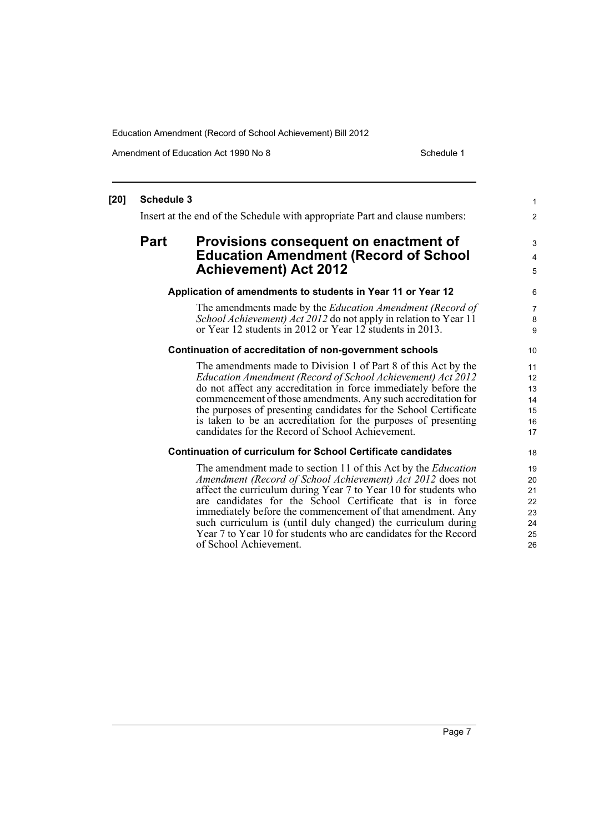of School Achievement.

Amendment of Education Act 1990 No 8 Schedule 1

#### **[20] Schedule 3** Insert at the end of the Schedule with appropriate Part and clause numbers: **Part Provisions consequent on enactment of Education Amendment (Record of School Achievement) Act 2012 Application of amendments to students in Year 11 or Year 12** The amendments made by the *Education Amendment (Record of School Achievement) Act 2012* do not apply in relation to Year 11 or Year 12 students in 2012 or Year 12 students in 2013. **Continuation of accreditation of non-government schools** The amendments made to Division 1 of Part 8 of this Act by the *Education Amendment (Record of School Achievement) Act 2012* do not affect any accreditation in force immediately before the commencement of those amendments. Any such accreditation for the purposes of presenting candidates for the School Certificate is taken to be an accreditation for the purposes of presenting candidates for the Record of School Achievement. **Continuation of curriculum for School Certificate candidates** The amendment made to section 11 of this Act by the *Education Amendment (Record of School Achievement) Act 2012* does not affect the curriculum during Year 7 to Year 10 for students who are candidates for the School Certificate that is in force immediately before the commencement of that amendment. Any such curriculum is (until duly changed) the curriculum during Year 7 to Year 10 for students who are candidates for the Record 1 2 3 4 5 6 7 8 9 10 11 12 13 14 15 16 17 18 19 20 21 22 23 24 25

26